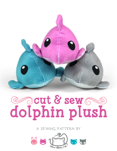

# **cut & sew dolphin plush**

**a sewing pattern by**

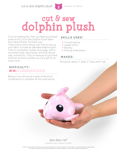

## **cut & sew dolphin plush**

**2**

If you're reading this, then you likely purchased some of my Cut & Sew Dolphin Plush fabric from Spoonflower. So thank you! These instructions will go over how to sew up your fabric to make an adorable dolphin plush. They're completely chubby and pudgy with a tiny bottle nose, round body, and bitty dorsal, side, and tail fins. They're measure at just hand held size so they're perfect as a tiny gift for an ocean lover.

#### **skills used:**

- Curved sewing
- Ladder stitch
- Basting
- Sewing small pieces

#### **makes:**

One plush, about 5" wide, 5" long, and 4" tall

#### **difficulty:**  <u> a shekara ta 1989</u>

Being so tiny, this plush needs a little bit of coordination to complete all the small pieces.

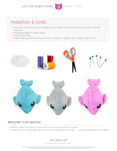

### **materials & tools:**

- your pre-printed cut & sew dolphin plush fabric from Spoonflower (at least one fat quarter)
- **•** sewing thread to match fabric
- poly-fil stuffing
- basic sewing tools (sewing machine, scissors, needles, pins, seam ripper, etc.)



#### **before you begin:**

- Briefly read the project instructions so you know what to expect.
- Note that a ¼" seam allowance is used throughout the project -- already included in the fabric.

sew desu ne? | www.cholyknight.com |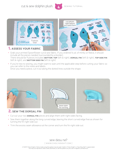

**4**

- Grab your printed Spoonflower cut & sew fabric. If you ordered ¼ yd. of minky or fleece, it should include all the pieces needed (surrounded by a border). There should be 9 pieces included: **bottom**, **top** (left & right), **dorsal fin** (left & right), **top side fin** (left & right), and **bottom side fin** (left & right)
- If you're new to sewing, you might want to wait until the applicable step before cutting your fabric so you can refer to the notes and labels. Once you need a piece, cut it out along the dotted lines outside the shape.



- Cut out your two **DORSAL FIN** pieces and align them with right sides facing.
- Sew them together along the long curved edge, leaving the short curved edge free as shown for turning the fin right side out.
- Trim the excess seam allowance at the corner and turn the fin right side out.

sew desu ne? | www.cholyknight.com |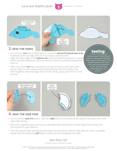



**5**

- Cut out your **top** (left & right) pieces. Locate the *dorsal fin placement area* found along the top edge (shown in a contrast colored band). Align the open edge of the **DORSAL FIN** within this band and baste it in place within the seam allowance. Be sure the tip of the fin is pointed towards the back fin.
- Take your other **top** piece and layer it on top of the first with right sides facing. Align the raw edges and pin along the top half of the piece. Sew them together along the edge shown in the photo, going over the fin in the process.

**basting:** A form of temporary

sewing meant to hold pieces in place. A long stitch length is often used for this reason. The finished result is not meant to be seen and sometimes is even removed later (depending on your  $\overline{\cdots}$  project)



- Cut out all four **side FIN** pieces. Take two *right* pieces (one darker & one lighter) and align them with right sides facing.
- Sew them together along the long curved edge, leaving the short curved edge free as shown for turning the fin right side out.
- Trim the excess seam allowance at the tight curves and turn the fin right side out. When complete, repeat with the remaining *left* side fin pieces for two completed fins total.

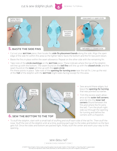cut & sew dolphin plush  $\left| \right|$  sewing tutorial





**6**

- Cut out your **BOTTOM** piece, then locate the **side fin placement bands** along the side. Align the open edge of the side fin within this area so the lighter fabric faces the bottom and the fin tips point down.
- Baste the fins in place within the seam allowance. Repeat on the other side with the remaining fin.
- Take note of the **circle markings** on the **BOTTOM** piece. These indicate where the top of the dolphin will line up with the bottom. The seam found on the *tail fins* will line up with the *closed circle*, and the seam found on the *nose* will line up with the *open circle*. Pin these points in place. Take note of the *opening for turning area* near the tail fin. Line up the rest of the **TOP** of the dolphin with the **BOTTOM** (right sides facing) except for this area.

leave open for  $t = \frac{1}{2}$  clip at  $\frac{1}{2}$  clip at  $\frac{1}{2}$  clip at  $\frac{1}{2}$  clip at  $\frac{1}{2}$ inner corners

#### 6. **sew the bottom to the top**

- Sew around these edges, but leave the *opening for turning* that was pointed out earlier.
- Trim the excess seam allowance at the *outer tail corners*, and clip into the *inner tail corners* (found between the fins and where the fin joins the tail). Turn the plush right side out through the opening for turning and define the corners with a chopstick.
- To stuff the dolphin, start with a small ball of stuffing and stuff each side of the tail fin. Then stuff the nose. Stuff the rest of the dolphin a bit at a time, pushing each part to the sides and bottom so the face gets full. Once the sides and bottom are packed tight, finally stuff the center and work your way to the opening.